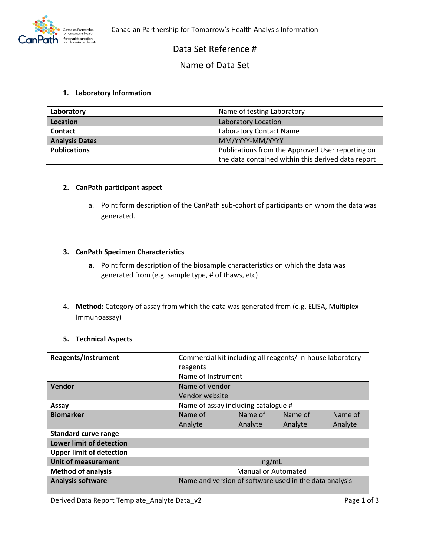## Data Set Reference #

## Name of Data Set

### **1. Laboratory Information**

| Laboratory            | Name of testing Laboratory                         |
|-----------------------|----------------------------------------------------|
| Location              | Laboratory Location                                |
| <b>Contact</b>        | Laboratory Contact Name                            |
| <b>Analysis Dates</b> | MM/YYYY-MM/YYYY                                    |
| <b>Publications</b>   | Publications from the Approved User reporting on   |
|                       | the data contained within this derived data report |

#### **2. CanPath participant aspect**

a. Point form description of the CanPath sub-cohort of participants on whom the data was generated.

#### **3. CanPath Specimen Characteristics**

- **a.** Point form description of the biosample characteristics on which the data was generated from (e.g. sample type, # of thaws, etc)
- 4. **Method:** Category of assay from which the data was generated from (e.g. ELISA, Multiplex Immunoassay)

#### **5. Technical Aspects**

| <b>Reagents/Instrument</b>      | Commercial kit including all reagents/In-house laboratory |         |         |         |  |  |
|---------------------------------|-----------------------------------------------------------|---------|---------|---------|--|--|
|                                 | reagents                                                  |         |         |         |  |  |
|                                 | Name of Instrument                                        |         |         |         |  |  |
| Vendor                          | Name of Vendor                                            |         |         |         |  |  |
|                                 | Vendor website                                            |         |         |         |  |  |
| Assay                           | Name of assay including catalogue #                       |         |         |         |  |  |
| <b>Biomarker</b>                | Name of                                                   | Name of | Name of | Name of |  |  |
|                                 | Analyte                                                   | Analyte | Analyte | Analyte |  |  |
| <b>Standard curve range</b>     |                                                           |         |         |         |  |  |
| <b>Lower limit of detection</b> |                                                           |         |         |         |  |  |
| <b>Upper limit of detection</b> |                                                           |         |         |         |  |  |
| <b>Unit of measurement</b>      | ng/mL                                                     |         |         |         |  |  |
| <b>Method of analysis</b>       | Manual or Automated                                       |         |         |         |  |  |
| <b>Analysis software</b>        | Name and version of software used in the data analysis    |         |         |         |  |  |

Derived Data Report Template\_Analyte Data\_v2 Page 1 of 3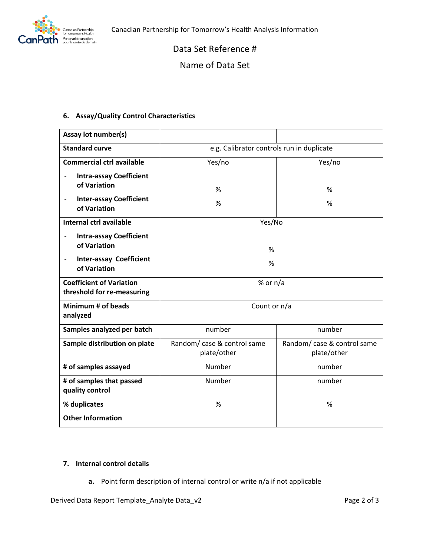

Data Set Reference #

Name of Data Set

## **6. Assay/Quality Control Characteristics**

| Assay lot number(s)                                           |                                            |                                            |  |  |
|---------------------------------------------------------------|--------------------------------------------|--------------------------------------------|--|--|
| <b>Standard curve</b>                                         | e.g. Calibrator controls run in duplicate  |                                            |  |  |
| <b>Commercial ctrl available</b>                              | Yes/no<br>Yes/no                           |                                            |  |  |
| <b>Intra-assay Coefficient</b>                                |                                            |                                            |  |  |
| of Variation                                                  | %                                          | %                                          |  |  |
| <b>Inter-assay Coefficient</b><br>of Variation                | %                                          | %                                          |  |  |
| Internal ctrl available                                       | Yes/No                                     |                                            |  |  |
| <b>Intra-assay Coefficient</b><br>of Variation                | %                                          |                                            |  |  |
| <b>Inter-assay Coefficient</b><br>of Variation                | %                                          |                                            |  |  |
| <b>Coefficient of Variation</b><br>threshold for re-measuring | % or $n/a$                                 |                                            |  |  |
| Minimum # of beads<br>analyzed                                | Count or n/a                               |                                            |  |  |
| Samples analyzed per batch                                    | number                                     | number                                     |  |  |
| Sample distribution on plate                                  | Random/ case & control same<br>plate/other | Random/ case & control same<br>plate/other |  |  |
| # of samples assayed                                          | Number                                     | number                                     |  |  |
| # of samples that passed<br>quality control                   | Number                                     | number                                     |  |  |
| % duplicates                                                  | %<br>%                                     |                                            |  |  |
| <b>Other Information</b>                                      |                                            |                                            |  |  |

## **7. Internal control details**

**a.** Point form description of internal control or write n/a if not applicable

Derived Data Report Template\_Analyte Data\_v2 Page 2 of 3